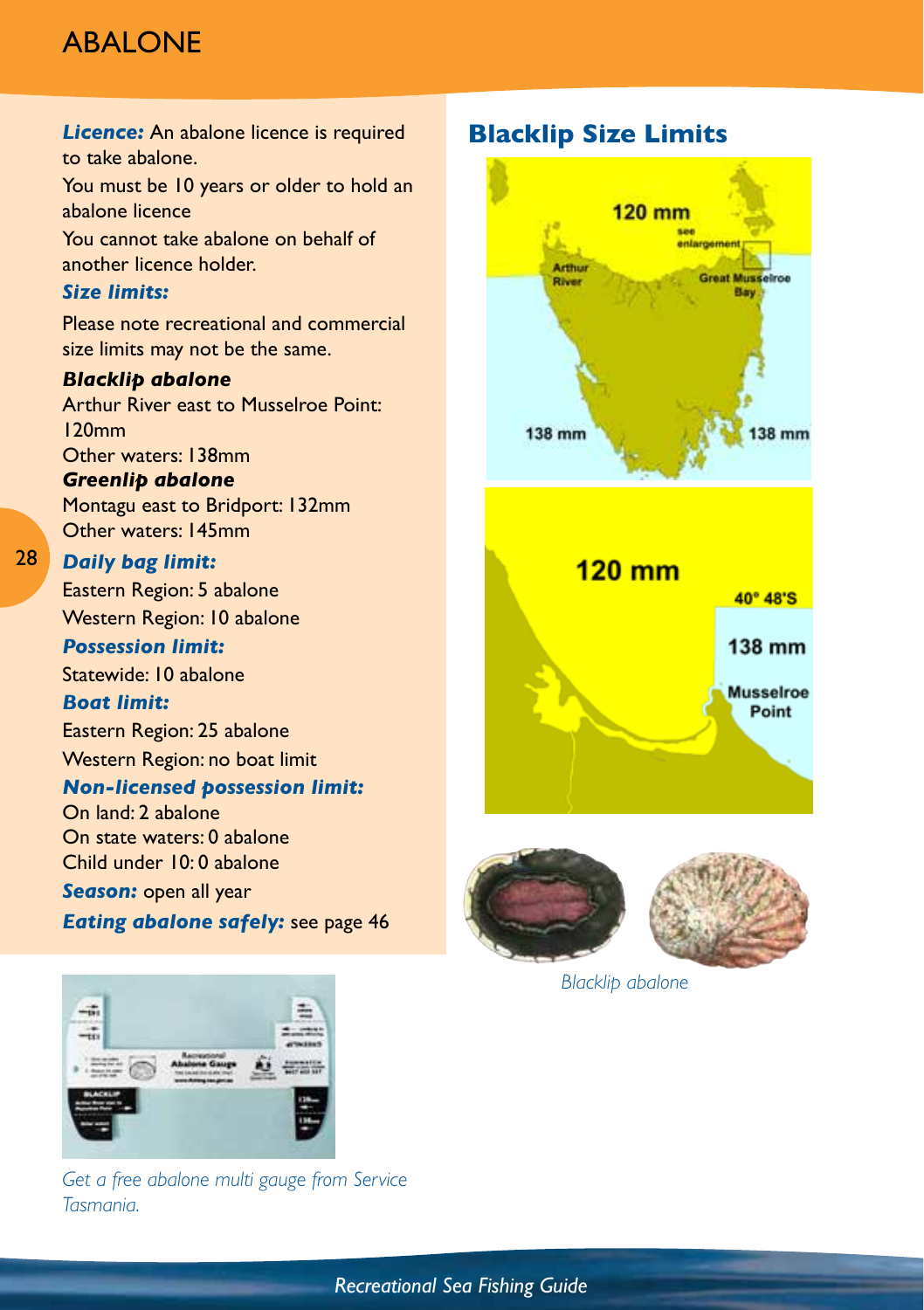# **ABALONE**

**Licence:** An abalone licence is required to take abalone. You must be 10 years or older to hold an abalone licence You cannot take abalone on behalf of another licence holder. *Size limits:*  Please note recreational and commercial size limits may not be the same. *Blacklip abalone* Arthur River east to Musselroe Point: 120mm Other waters: 138mm *Greenlip abalone* Montagu east to Bridport: 132mm Other waters: 145mm *Daily bag limit:*  Eastern Region: 5 abalone Western Region: 10 abalone *Possession limit:*  Statewide: 10 abalone *Boat limit:*

Eastern Region: 25 abalone Western Region: no boat limit

#### *Non-licensed possession limit:*

On land: 2 abalone On state waters: 0 abalone Child under 10: 0 abalone

*Season:* open all year

28

*Eating abalone safely:* see page 46



*Get a free abalone multi gauge from Service Tasmania.*

## **Blacklip Size Limits**





*Blacklip abalone*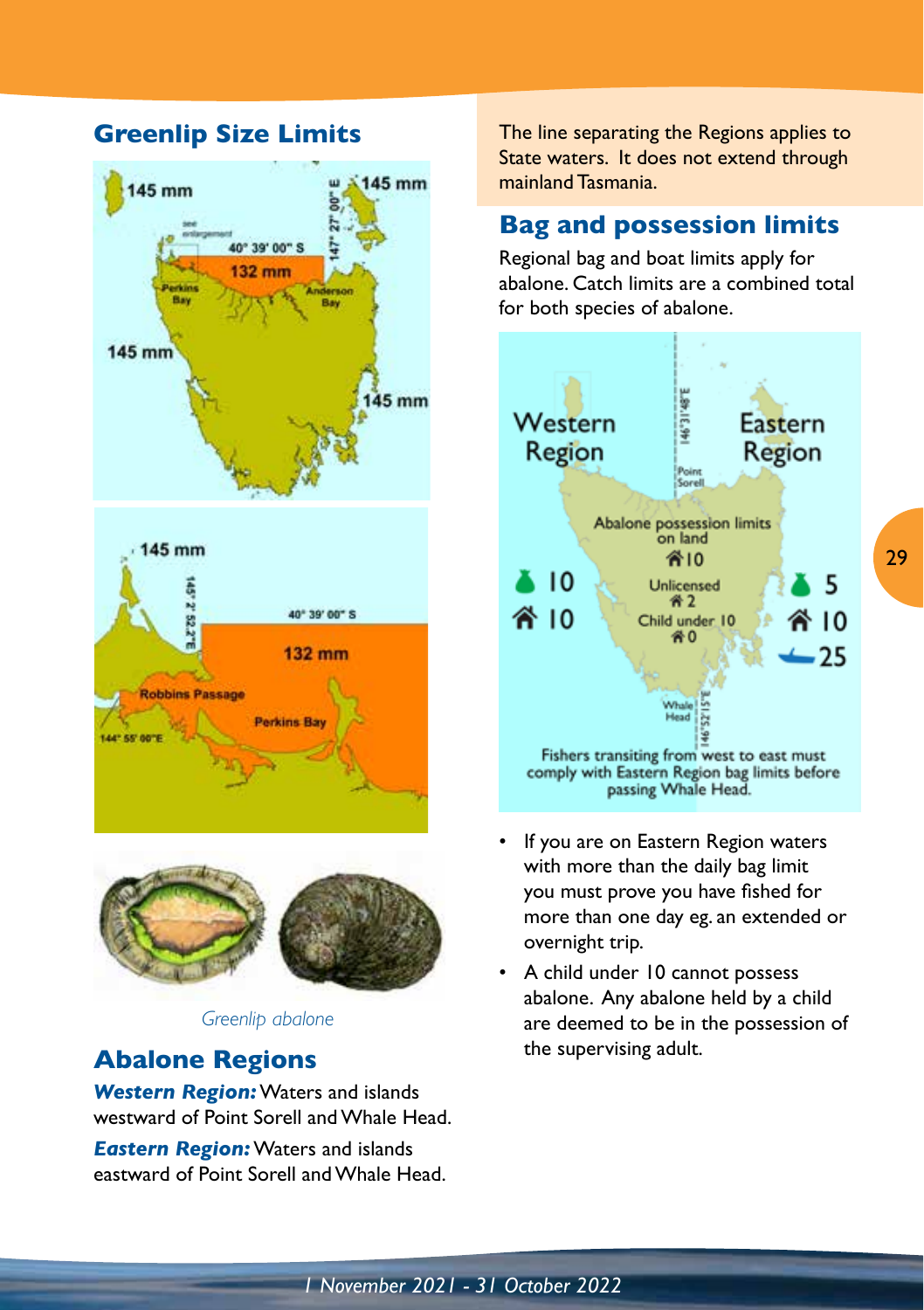## **Greenlip Size Limits**





*Greenlip abalone*

## **Abalone Regions**

*Western Region:* Waters and islands westward of Point Sorell and Whale Head.

*Eastern Region:* Waters and islands eastward of Point Sorell and Whale Head. The line separating the Regions applies to State waters. It does not extend through mainland Tasmania.

## **Bag and possession limits**

Regional bag and boat limits apply for abalone. Catch limits are a combined total for both species of abalone.



- If you are on Eastern Region waters with more than the daily bag limit you must prove you have fished for more than one day eg. an extended or overnight trip.
- A child under 10 cannot possess abalone. Any abalone held by a child are deemed to be in the possession of the supervising adult.